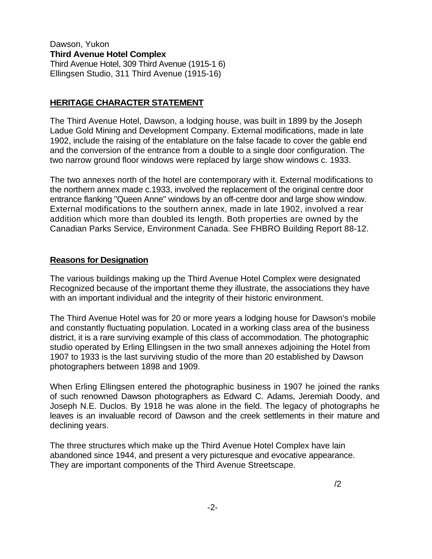#### Dawson, Yukon **Third Avenue Hotel Complex**  Third Avenue Hotel, 309 Third Avenue (1915-1 6) Ellingsen Studio, 311 Third Avenue (1915-16)

## **HERITAGE CHARACTER STATEMENT**

The Third Avenue Hotel, Dawson, a lodging house, was built in 1899 by the Joseph Ladue Gold Mining and Development Company. External modifications, made in late 1902, include the raising of the entablature on the false facade to cover the gable end and the conversion of the entrance from a double to a single door configuration. The two narrow ground floor windows were replaced by large show windows c. 1933.

The two annexes north of the hotel are contemporary with it. External modifications to the northern annex made c.1933, involved the replacement of the original centre door entrance flanking "Queen Anne" windows by an off-centre door and large show window. External modifications to the southern annex, made in late 1902, involved a rear addition which more than doubled its length. Both properties are owned by the Canadian Parks Service, Environment Canada. See FHBRO Building Report 88-12.

#### **Reasons for Designation**

The various buildings making up the Third Avenue Hotel Complex were designated Recognized because of the important theme they illustrate, the associations they have with an important individual and the integrity of their historic environment.

The Third Avenue Hotel was for 20 or more years a lodging house for Dawson's mobile and constantly fluctuating population. Located in a working class area of the business district, it is a rare surviving example of this class of accommodation. The photographic studio operated by Erling Ellingsen in the two small annexes adjoining the Hotel from 1907 to 1933 is the last surviving studio of the more than 20 established by Dawson photographers between 1898 and 1909.

When Erling Ellingsen entered the photographic business in 1907 he joined the ranks of such renowned Dawson photographers as Edward C. Adams, Jeremiah Doody, and Joseph N.E. Duclos. By 1918 he was alone in the field. The legacy of photographs he leaves is an invaluable record of Dawson and the creek settlements in their mature and declining years.

The three structures which make up the Third Avenue Hotel Complex have lain abandoned since 1944, and present a very picturesque and evocative appearance. They are important components of the Third Avenue Streetscape.